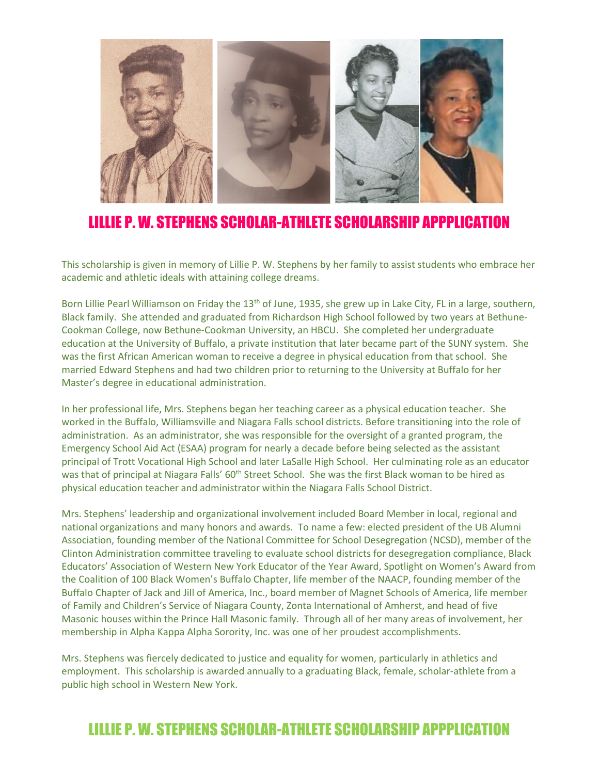

# LILLIE P. W. STEPHENS SCHOLAR-ATHLETE SCHOLARSHIP APPPLICATION

This scholarship is given in memory of Lillie P. W. Stephens by her family to assist students who embrace her academic and athletic ideals with attaining college dreams.

Born Lillie Pearl Williamson on Friday the 13<sup>th</sup> of June, 1935, she grew up in Lake City, FL in a large, southern, Black family. She attended and graduated from Richardson High School followed by two years at Bethune-Cookman College, now Bethune-Cookman University, an HBCU. She completed her undergraduate education at the University of Buffalo, a private institution that later became part of the SUNY system. She was the first African American woman to receive a degree in physical education from that school. She married Edward Stephens and had two children prior to returning to the University at Buffalo for her Master's degree in educational administration.

In her professional life, Mrs. Stephens began her teaching career as a physical education teacher. She worked in the Buffalo, Williamsville and Niagara Falls school districts. Before transitioning into the role of administration. As an administrator, she was responsible for the oversight of a granted program, the Emergency School Aid Act (ESAA) program for nearly a decade before being selected as the assistant principal of Trott Vocational High School and later LaSalle High School. Her culminating role as an educator was that of principal at Niagara Falls' 60<sup>th</sup> Street School. She was the first Black woman to be hired as physical education teacher and administrator within the Niagara Falls School District.

Mrs. Stephens' leadership and organizational involvement included Board Member in local, regional and national organizations and many honors and awards. To name a few: elected president of the UB Alumni Association, founding member of the National Committee for School Desegregation (NCSD), member of the Clinton Administration committee traveling to evaluate school districts for desegregation compliance, Black Educators' Association of Western New York Educator of the Year Award, Spotlight on Women's Award from the Coalition of 100 Black Women's Buffalo Chapter, life member of the NAACP, founding member of the Buffalo Chapter of Jack and Jill of America, Inc., board member of Magnet Schools of America, life member of Family and Children's Service of Niagara County, Zonta International of Amherst, and head of five Masonic houses within the Prince Hall Masonic family. Through all of her many areas of involvement, her membership in Alpha Kappa Alpha Sorority, Inc. was one of her proudest accomplishments.

Mrs. Stephens was fiercely dedicated to justice and equality for women, particularly in athletics and employment. This scholarship is awarded annually to a graduating Black, female, scholar-athlete from a public high school in Western New York.

# LILLIE P. W. STEPHENS SCHOLAR-ATHLETE SCHOLARSHIP APPPLICATION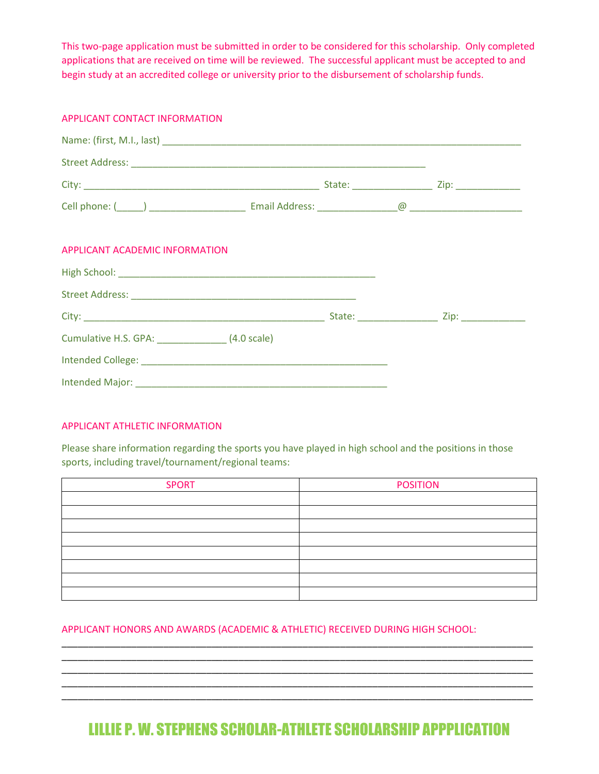This two-page application must be submitted in order to be considered for this scholarship. Only completed applications that are received on time will be reviewed. The successful applicant must be accepted to and begin study at an accredited college or university prior to the disbursement of scholarship funds.

| APPLICANT CONTACT INFORMATION    |  |  |  |
|----------------------------------|--|--|--|
|                                  |  |  |  |
|                                  |  |  |  |
|                                  |  |  |  |
|                                  |  |  |  |
| APPLICANT ACADEMIC INFORMATION   |  |  |  |
|                                  |  |  |  |
|                                  |  |  |  |
|                                  |  |  |  |
| Cumulative H.S. GPA: (4.0 scale) |  |  |  |
|                                  |  |  |  |
|                                  |  |  |  |

#### APPLICANT ATHLETIC INFORMATION

Please share information regarding the sports you have played in high school and the positions in those sports, including travel/tournament/regional teams:

| <b>SPORT</b> | <b>POSITION</b> |
|--------------|-----------------|
|              |                 |
|              |                 |
|              |                 |
|              |                 |
|              |                 |
|              |                 |
|              |                 |
|              |                 |

#### APPLICANT HONORS AND AWARDS (ACADEMIC & ATHLETIC) RECEIVED DURING HIGH SCHOOL:

# LILLIE P. W. STEPHENS SCHOLAR-ATHLETE SCHOLARSHIP APPPLICATION

\_\_\_\_\_\_\_\_\_\_\_\_\_\_\_\_\_\_\_\_\_\_\_\_\_\_\_\_\_\_\_\_\_\_\_\_\_\_\_\_\_\_\_\_\_\_\_\_\_\_\_\_\_\_\_\_\_\_\_\_\_\_\_\_\_\_\_\_\_\_\_\_\_\_\_\_\_\_\_\_\_\_\_\_\_\_\_\_ \_\_\_\_\_\_\_\_\_\_\_\_\_\_\_\_\_\_\_\_\_\_\_\_\_\_\_\_\_\_\_\_\_\_\_\_\_\_\_\_\_\_\_\_\_\_\_\_\_\_\_\_\_\_\_\_\_\_\_\_\_\_\_\_\_\_\_\_\_\_\_\_\_\_\_\_\_\_\_\_\_\_\_\_\_\_\_\_ \_\_\_\_\_\_\_\_\_\_\_\_\_\_\_\_\_\_\_\_\_\_\_\_\_\_\_\_\_\_\_\_\_\_\_\_\_\_\_\_\_\_\_\_\_\_\_\_\_\_\_\_\_\_\_\_\_\_\_\_\_\_\_\_\_\_\_\_\_\_\_\_\_\_\_\_\_\_\_\_\_\_\_\_\_\_\_\_ \_\_\_\_\_\_\_\_\_\_\_\_\_\_\_\_\_\_\_\_\_\_\_\_\_\_\_\_\_\_\_\_\_\_\_\_\_\_\_\_\_\_\_\_\_\_\_\_\_\_\_\_\_\_\_\_\_\_\_\_\_\_\_\_\_\_\_\_\_\_\_\_\_\_\_\_\_\_\_\_\_\_\_\_\_\_\_\_ \_\_\_\_\_\_\_\_\_\_\_\_\_\_\_\_\_\_\_\_\_\_\_\_\_\_\_\_\_\_\_\_\_\_\_\_\_\_\_\_\_\_\_\_\_\_\_\_\_\_\_\_\_\_\_\_\_\_\_\_\_\_\_\_\_\_\_\_\_\_\_\_\_\_\_\_\_\_\_\_\_\_\_\_\_\_\_\_